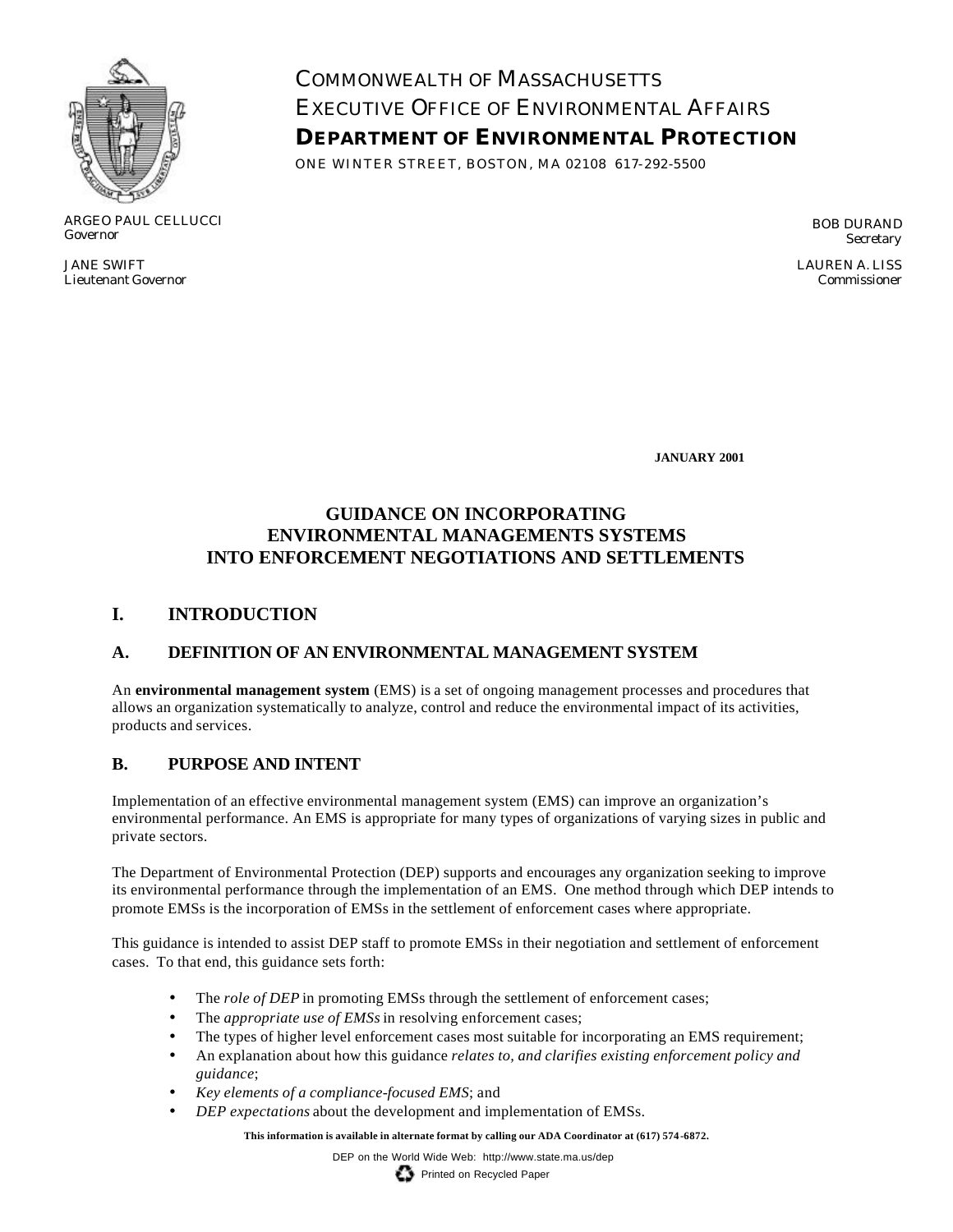

ARGEO PAUL CELLUCCI Governor

JANE SWIFT Lieutenant Governor COMMONWEALTH OF MASSACHUSETTS EXECUTIVE OFFICE OF ENVIRONMENTAL AFFAIRS **DEPARTMENT OF ENVIRONMENTAL PROTECTION**

ONE WINTER STREET, BOSTON, MA 02108 617-292-5500

BOB DURAND **Secretary** 

LAUREN A. LISS Commissioner

**JANUARY 2001**

# **GUIDANCE ON INCORPORATING ENVIRONMENTAL MANAGEMENTS SYSTEMS INTO ENFORCEMENT NEGOTIATIONS AND SETTLEMENTS**

## **I. INTRODUCTION**

## **A. DEFINITION OF AN ENVIRONMENTAL MANAGEMENT SYSTEM**

An **environmental management system** (EMS) is a set of ongoing management processes and procedures that allows an organization systematically to analyze, control and reduce the environmental impact of its activities, products and services.

## **B. PURPOSE AND INTENT**

Implementation of an effective environmental management system (EMS) can improve an organization's environmental performance. An EMS is appropriate for many types of organizations of varying sizes in public and private sectors.

The Department of Environmental Protection (DEP) supports and encourages any organization seeking to improve its environmental performance through the implementation of an EMS. One method through which DEP intends to promote EMSs is the incorporation of EMSs in the settlement of enforcement cases where appropriate.

This guidance is intended to assist DEP staff to promote EMSs in their negotiation and settlement of enforcement cases. To that end, this guidance sets forth:

- The *role of DEP* in promoting EMSs through the settlement of enforcement cases;
- The *appropriate use of EMSs* in resolving enforcement cases;
- The types of higher level enforcement cases most suitable for incorporating an EMS requirement;
- An explanation about how this guidance *relates to, and clarifies existing enforcement policy and guidance*;
- *Key elements of a compliance-focused EMS*; and
- *DEP expectations* about the development and implementation of EMSs.

**This information is available in alternate format by calling our ADA Coordinator at (617) 574 -6872.**

DEP on the World Wide Web: http://www.state.ma.us/dep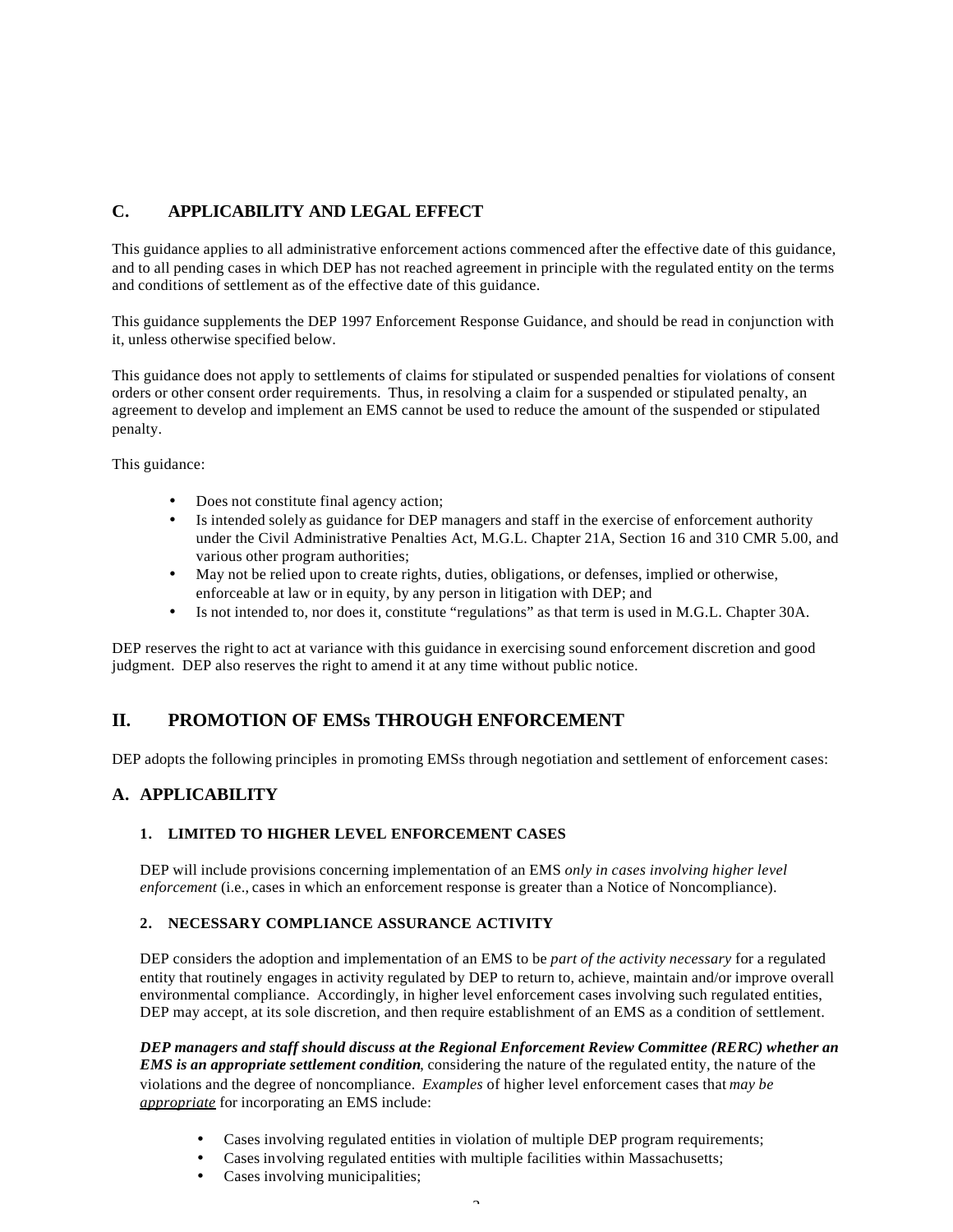### **C. APPLICABILITY AND LEGAL EFFECT**

This guidance applies to all administrative enforcement actions commenced after the effective date of this guidance, and to all pending cases in which DEP has not reached agreement in principle with the regulated entity on the terms and conditions of settlement as of the effective date of this guidance.

This guidance supplements the DEP 1997 Enforcement Response Guidance, and should be read in conjunction with it, unless otherwise specified below.

This guidance does not apply to settlements of claims for stipulated or suspended penalties for violations of consent orders or other consent order requirements. Thus, in resolving a claim for a suspended or stipulated penalty, an agreement to develop and implement an EMS cannot be used to reduce the amount of the suspended or stipulated penalty.

This guidance:

- Does not constitute final agency action;
- Is intended solely as guidance for DEP managers and staff in the exercise of enforcement authority under the Civil Administrative Penalties Act, M.G.L. Chapter 21A, Section 16 and 310 CMR 5.00, and various other program authorities;
- May not be relied upon to create rights, duties, obligations, or defenses, implied or otherwise, enforceable at law or in equity, by any person in litigation with DEP; and
- Is not intended to, nor does it, constitute "regulations" as that term is used in M.G.L. Chapter 30A.

DEP reserves the right to act at variance with this guidance in exercising sound enforcement discretion and good judgment. DEP also reserves the right to amend it at any time without public notice.

## **II. PROMOTION OF EMSs THROUGH ENFORCEMENT**

DEP adopts the following principles in promoting EMSs through negotiation and settlement of enforcement cases:

### **A. APPLICABILITY**

#### **1. LIMITED TO HIGHER LEVEL ENFORCEMENT CASES**

DEP will include provisions concerning implementation of an EMS *only in cases involving higher level enforcement* (i.e., cases in which an enforcement response is greater than a Notice of Noncompliance).

#### **2. NECESSARY COMPLIANCE ASSURANCE ACTIVITY**

DEP considers the adoption and implementation of an EMS to be *part of the activity necessary* for a regulated entity that routinely engages in activity regulated by DEP to return to, achieve, maintain and/or improve overall environmental compliance. Accordingly, in higher level enforcement cases involving such regulated entities, DEP may accept, at its sole discretion, and then require establishment of an EMS as a condition of settlement.

*DEP managers and staff should discuss at the Regional Enforcement Review Committee (RERC) whether an EMS is an appropriate settlement condition*, considering the nature of the regulated entity, the nature of the violations and the degree of noncompliance. *Examples* of higher level enforcement cases that *may be appropriate* for incorporating an EMS include:

- Cases involving regulated entities in violation of multiple DEP program requirements;
- Cases involving regulated entities with multiple facilities within Massachusetts;
- Cases involving municipalities;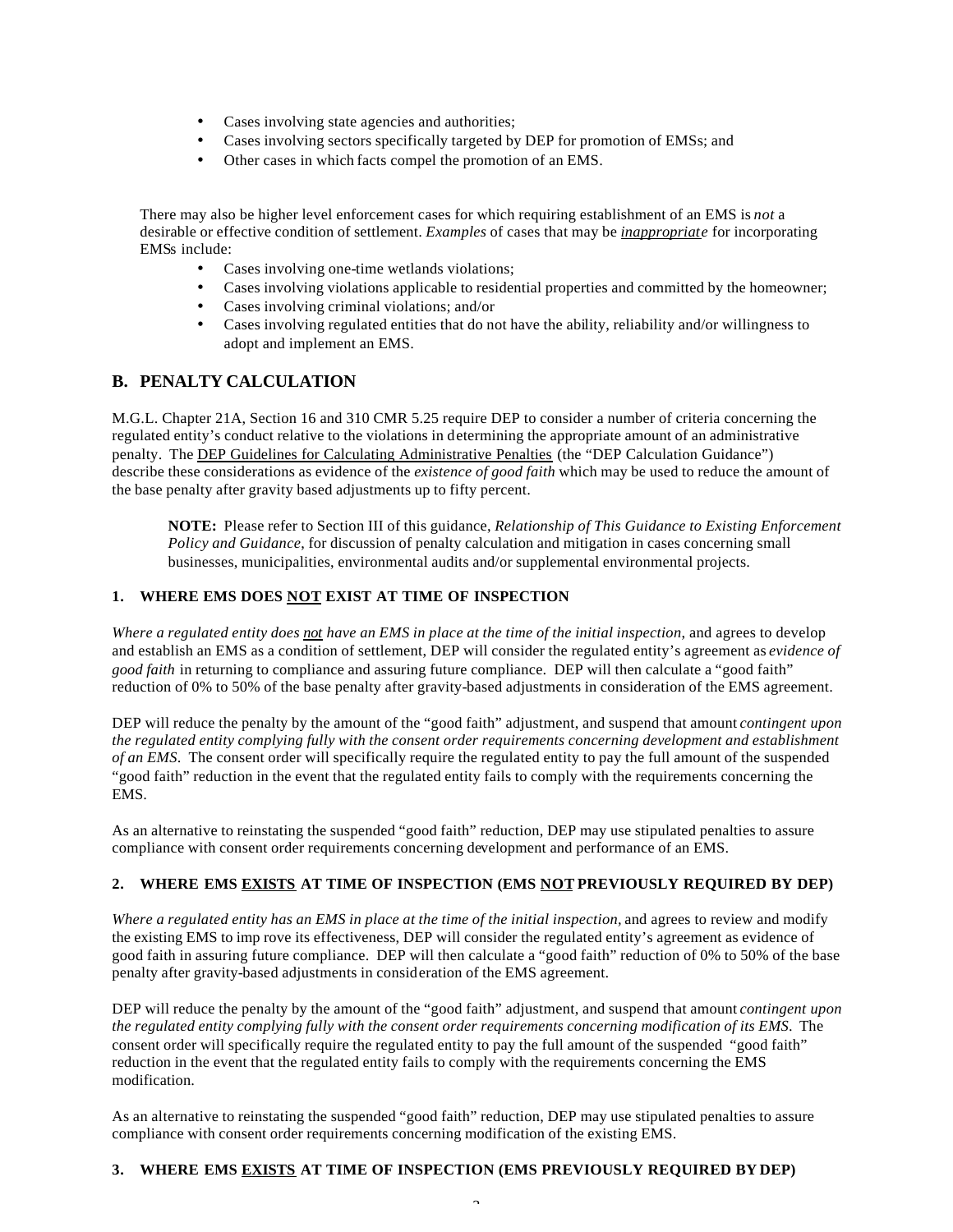- Cases involving state agencies and authorities;
- Cases involving sectors specifically targeted by DEP for promotion of EMSs; and
- Other cases in which facts compel the promotion of an EMS.

There may also be higher level enforcement cases for which requiring establishment of an EMS is *not* a desirable or effective condition of settlement. *Examples* of cases that may be *inappropriate* for incorporating EMSs include:

- Cases involving one-time wetlands violations;
- Cases involving violations applicable to residential properties and committed by the homeowner;
- Cases involving criminal violations; and/or
- Cases involving regulated entities that do not have the ability, reliability and/or willingness to adopt and implement an EMS.

### **B. PENALTY CALCULATION**

M.G.L. Chapter 21A, Section 16 and 310 CMR 5.25 require DEP to consider a number of criteria concerning the regulated entity's conduct relative to the violations in determining the appropriate amount of an administrative penalty. The **DEP Guidelines for Calculating Administrative Penalties** (the "DEP Calculation Guidance") describe these considerations as evidence of the *existence of good faith* which may be used to reduce the amount of the base penalty after gravity based adjustments up to fifty percent.

**NOTE:** Please refer to Section III of this guidance, *Relationship of This Guidance to Existing Enforcement Policy and Guidance*, for discussion of penalty calculation and mitigation in cases concerning small businesses, municipalities, environmental audits and/or supplemental environmental projects.

#### **1. WHERE EMS DOES NOT EXIST AT TIME OF INSPECTION**

*Where a regulated entity does not have an EMS in place at the time of the initial inspection*, and agrees to develop and establish an EMS as a condition of settlement, DEP will consider the regulated entity's agreement as *evidence of good faith* in returning to compliance and assuring future compliance. DEP will then calculate a "good faith" reduction of 0% to 50% of the base penalty after gravity-based adjustments in consideration of the EMS agreement.

DEP will reduce the penalty by the amount of the "good faith" adjustment, and suspend that amount *contingent upon the regulated entity complying fully with the consent order requirements concerning development and establishment of an EMS*. The consent order will specifically require the regulated entity to pay the full amount of the suspended "good faith" reduction in the event that the regulated entity fails to comply with the requirements concerning the EMS.

As an alternative to reinstating the suspended "good faith" reduction, DEP may use stipulated penalties to assure compliance with consent order requirements concerning development and performance of an EMS.

#### **2. WHERE EMS EXISTS AT TIME OF INSPECTION (EMS NOT PREVIOUSLY REQUIRED BY DEP)**

*Where a regulated entity has an EMS in place at the time of the initial inspection,* and agrees to review and modify the existing EMS to imp rove its effectiveness, DEP will consider the regulated entity's agreement as evidence of good faith in assuring future compliance. DEP will then calculate a "good faith" reduction of 0% to 50% of the base penalty after gravity-based adjustments in consideration of the EMS agreement.

DEP will reduce the penalty by the amount of the "good faith" adjustment, and suspend that amount *contingent upon the regulated entity complying fully with the consent order requirements concerning modification of its EMS*. The consent order will specifically require the regulated entity to pay the full amount of the suspended "good faith" reduction in the event that the regulated entity fails to comply with the requirements concerning the EMS modification.

As an alternative to reinstating the suspended "good faith" reduction, DEP may use stipulated penalties to assure compliance with consent order requirements concerning modification of the existing EMS.

#### **3. WHERE EMS EXISTS AT TIME OF INSPECTION (EMS PREVIOUSLY REQUIRED BY DEP)**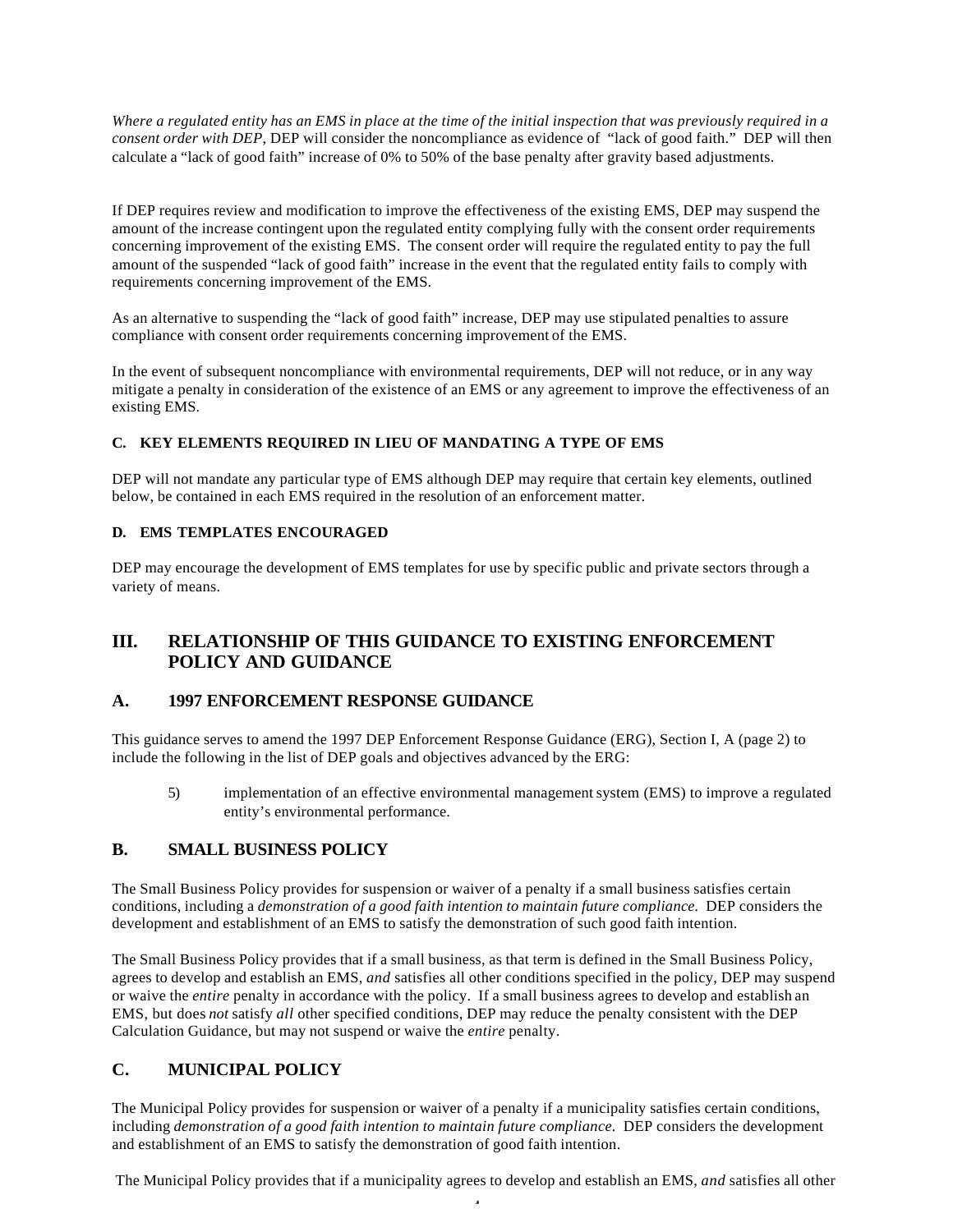*Where a regulated entity has an EMS in place at the time of the initial inspection that was previously required in a consent order with DEP*, DEP will consider the noncompliance as evidence of "lack of good faith." DEP will then calculate a "lack of good faith" increase of 0% to 50% of the base penalty after gravity based adjustments.

If DEP requires review and modification to improve the effectiveness of the existing EMS, DEP may suspend the amount of the increase contingent upon the regulated entity complying fully with the consent order requirements concerning improvement of the existing EMS. The consent order will require the regulated entity to pay the full amount of the suspended "lack of good faith" increase in the event that the regulated entity fails to comply with requirements concerning improvement of the EMS.

As an alternative to suspending the "lack of good faith" increase, DEP may use stipulated penalties to assure compliance with consent order requirements concerning improvement of the EMS.

In the event of subsequent noncompliance with environmental requirements, DEP will not reduce, or in any way mitigate a penalty in consideration of the existence of an EMS or any agreement to improve the effectiveness of an existing EMS.

#### **C. KEY ELEMENTS REQUIRED IN LIEU OF MANDATING A TYPE OF EMS**

DEP will not mandate any particular type of EMS although DEP may require that certain key elements, outlined below, be contained in each EMS required in the resolution of an enforcement matter.

#### **D. EMS TEMPLATES ENCOURAGED**

DEP may encourage the development of EMS templates for use by specific public and private sectors through a variety of means.

## **III. RELATIONSHIP OF THIS GUIDANCE TO EXISTING ENFORCEMENT POLICY AND GUIDANCE**

### **A. 1997 ENFORCEMENT RESPONSE GUIDANCE**

This guidance serves to amend the 1997 DEP Enforcement Response Guidance (ERG), Section I, A (page 2) to include the following in the list of DEP goals and objectives advanced by the ERG:

5) implementation of an effective environmental management system (EMS) to improve a regulated entity's environmental performance.

### **B. SMALL BUSINESS POLICY**

The Small Business Policy provides for suspension or waiver of a penalty if a small business satisfies certain conditions, including a *demonstration of a good faith intention to maintain future compliance.* DEP considers the development and establishment of an EMS to satisfy the demonstration of such good faith intention.

The Small Business Policy provides that if a small business, as that term is defined in the Small Business Policy, agrees to develop and establish an EMS, *and* satisfies all other conditions specified in the policy, DEP may suspend or waive the *entire* penalty in accordance with the policy. If a small business agrees to develop and establish an EMS, but does *not* satisfy *all* other specified conditions, DEP may reduce the penalty consistent with the DEP Calculation Guidance, but may not suspend or waive the *entire* penalty.

## **C. MUNICIPAL POLICY**

The Municipal Policy provides for suspension or waiver of a penalty if a municipality satisfies certain conditions, including *demonstration of a good faith intention to maintain future compliance.* DEP considers the development and establishment of an EMS to satisfy the demonstration of good faith intention.

4 The Municipal Policy provides that if a municipality agrees to develop and establish an EMS, *and* satisfies all other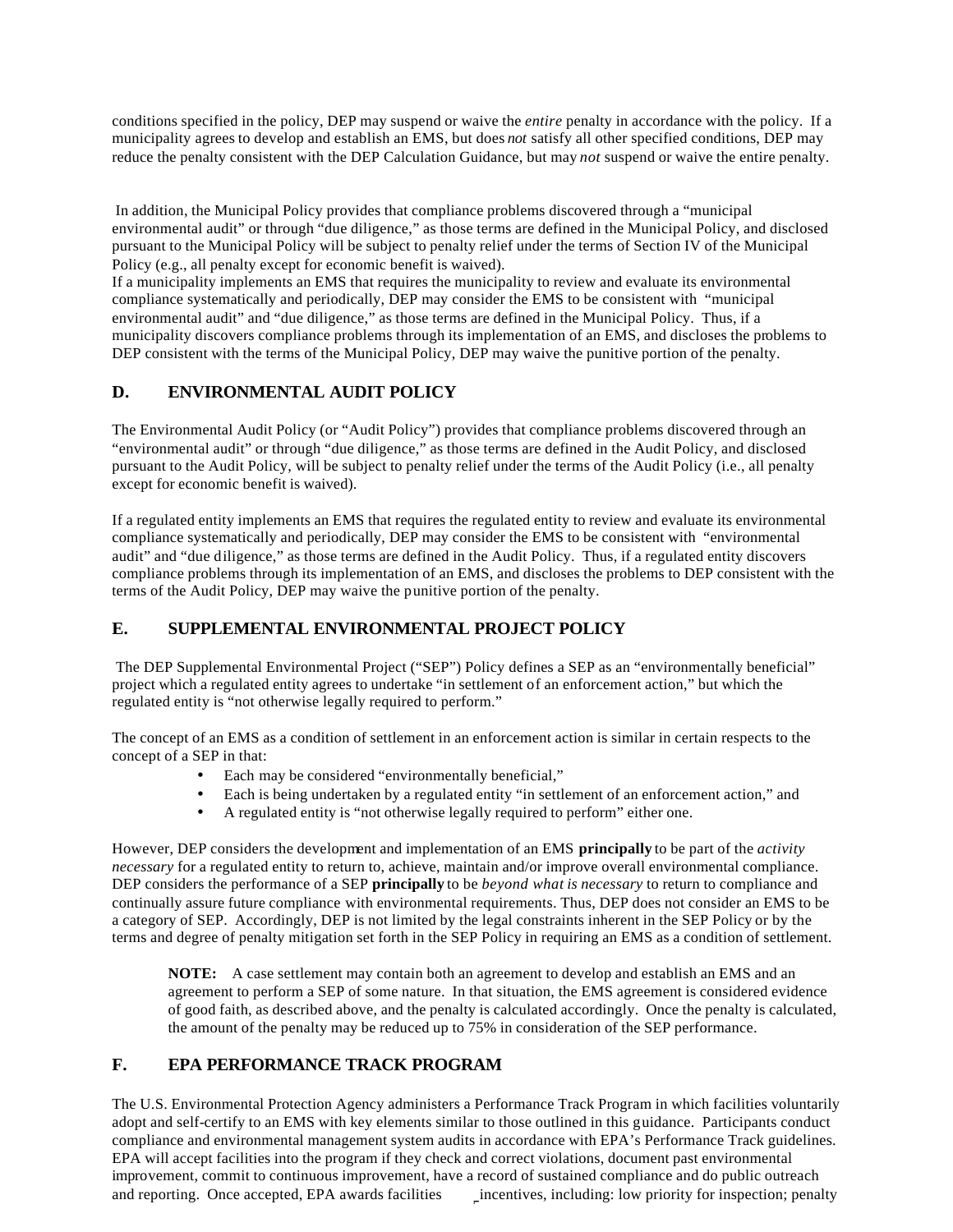conditions specified in the policy, DEP may suspend or waive the *entire* penalty in accordance with the policy. If a municipality agrees to develop and establish an EMS, but does *not* satisfy all other specified conditions, DEP may reduce the penalty consistent with the DEP Calculation Guidance, but may *not* suspend or waive the entire penalty.

 In addition, the Municipal Policy provides that compliance problems discovered through a "municipal environmental audit" or through "due diligence," as those terms are defined in the Municipal Policy, and disclosed pursuant to the Municipal Policy will be subject to penalty relief under the terms of Section IV of the Municipal Policy (e.g., all penalty except for economic benefit is waived).

If a municipality implements an EMS that requires the municipality to review and evaluate its environmental compliance systematically and periodically, DEP may consider the EMS to be consistent with "municipal environmental audit" and "due diligence," as those terms are defined in the Municipal Policy. Thus, if a municipality discovers compliance problems through its implementation of an EMS, and discloses the problems to DEP consistent with the terms of the Municipal Policy, DEP may waive the punitive portion of the penalty.

### **D. ENVIRONMENTAL AUDIT POLICY**

The Environmental Audit Policy (or "Audit Policy") provides that compliance problems discovered through an "environmental audit" or through "due diligence," as those terms are defined in the Audit Policy, and disclosed pursuant to the Audit Policy, will be subject to penalty relief under the terms of the Audit Policy (i.e., all penalty except for economic benefit is waived).

If a regulated entity implements an EMS that requires the regulated entity to review and evaluate its environmental compliance systematically and periodically, DEP may consider the EMS to be consistent with "environmental audit" and "due diligence," as those terms are defined in the Audit Policy. Thus, if a regulated entity discovers compliance problems through its implementation of an EMS, and discloses the problems to DEP consistent with the terms of the Audit Policy, DEP may waive the punitive portion of the penalty.

## **E. SUPPLEMENTAL ENVIRONMENTAL PROJECT POLICY**

 The DEP Supplemental Environmental Project ("SEP") Policy defines a SEP as an "environmentally beneficial" project which a regulated entity agrees to undertake "in settlement of an enforcement action," but which the regulated entity is "not otherwise legally required to perform."

The concept of an EMS as a condition of settlement in an enforcement action is similar in certain respects to the concept of a SEP in that:

- Each may be considered "environmentally beneficial,"
- Each is being undertaken by a regulated entity "in settlement of an enforcement action," and
- A regulated entity is "not otherwise legally required to perform" either one.

However, DEP considers the development and implementation of an EMS **principally** to be part of the *activity necessary* for a regulated entity to return to, achieve, maintain and/or improve overall environmental compliance. DEP considers the performance of a SEP **principally** to be *beyond what is necessary* to return to compliance and continually assure future compliance with environmental requirements. Thus, DEP does not consider an EMS to be a category of SEP. Accordingly, DEP is not limited by the legal constraints inherent in the SEP Policy or by the terms and degree of penalty mitigation set forth in the SEP Policy in requiring an EMS as a condition of settlement.

**NOTE:** A case settlement may contain both an agreement to develop and establish an EMS and an agreement to perform a SEP of some nature. In that situation, the EMS agreement is considered evidence of good faith, as described above, and the penalty is calculated accordingly. Once the penalty is calculated, the amount of the penalty may be reduced up to 75% in consideration of the SEP performance.

## **F. EPA PERFORMANCE TRACK PROGRAM**

and reporting. Once accepted, EPA awards facilities *incentives*, including: low priority for inspection; penalty The U.S. Environmental Protection Agency administers a Performance Track Program in which facilities voluntarily adopt and self-certify to an EMS with key elements similar to those outlined in this guidance. Participants conduct compliance and environmental management system audits in accordance with EPA's Performance Track guidelines. EPA will accept facilities into the program if they check and correct violations, document past environmental improvement, commit to continuous improvement, have a record of sustained compliance and do public outreach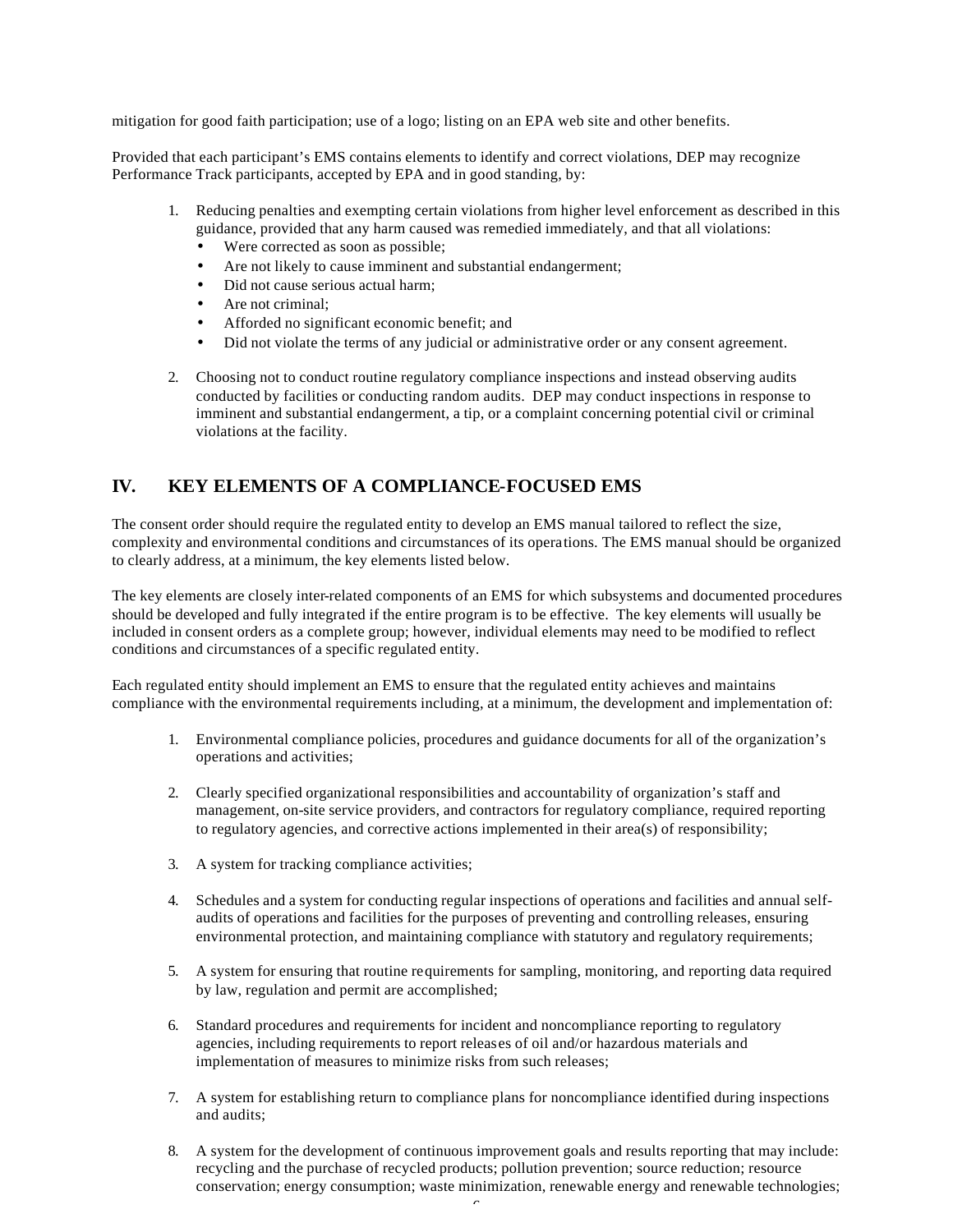mitigation for good faith participation; use of a logo; listing on an EPA web site and other benefits.

Provided that each participant's EMS contains elements to identify and correct violations, DEP may recognize Performance Track participants, accepted by EPA and in good standing, by:

- 1. Reducing penalties and exempting certain violations from higher level enforcement as described in this guidance, provided that any harm caused was remedied immediately, and that all violations:
	- Were corrected as soon as possible;
	- Are not likely to cause imminent and substantial endangerment;
	- Did not cause serious actual harm:
	- Are not criminal:
	- Afforded no significant economic benefit; and
	- Did not violate the terms of any judicial or administrative order or any consent agreement.
- 2. Choosing not to conduct routine regulatory compliance inspections and instead observing audits conducted by facilities or conducting random audits. DEP may conduct inspections in response to imminent and substantial endangerment, a tip, or a complaint concerning potential civil or criminal violations at the facility.

## **IV. KEY ELEMENTS OF A COMPLIANCE-FOCUSED EMS**

The consent order should require the regulated entity to develop an EMS manual tailored to reflect the size, complexity and environmental conditions and circumstances of its operations. The EMS manual should be organized to clearly address, at a minimum, the key elements listed below.

The key elements are closely inter-related components of an EMS for which subsystems and documented procedures should be developed and fully integrated if the entire program is to be effective. The key elements will usually be included in consent orders as a complete group; however, individual elements may need to be modified to reflect conditions and circumstances of a specific regulated entity.

Each regulated entity should implement an EMS to ensure that the regulated entity achieves and maintains compliance with the environmental requirements including, at a minimum, the development and implementation of:

- 1. Environmental compliance policies, procedures and guidance documents for all of the organization's operations and activities;
- 2. Clearly specified organizational responsibilities and accountability of organization's staff and management, on-site service providers, and contractors for regulatory compliance, required reporting to regulatory agencies, and corrective actions implemented in their area(s) of responsibility;
- 3. A system for tracking compliance activities;
- 4. Schedules and a system for conducting regular inspections of operations and facilities and annual selfaudits of operations and facilities for the purposes of preventing and controlling releases, ensuring environmental protection, and maintaining compliance with statutory and regulatory requirements;
- 5. A system for ensuring that routine requirements for sampling, monitoring, and reporting data required by law, regulation and permit are accomplished;
- 6. Standard procedures and requirements for incident and noncompliance reporting to regulatory agencies, including requirements to report releases of oil and/or hazardous materials and implementation of measures to minimize risks from such releases;
- 7. A system for establishing return to compliance plans for noncompliance identified during inspections and audits;
- 8. A system for the development of continuous improvement goals and results reporting that may include: recycling and the purchase of recycled products; pollution prevention; source reduction; resource conservation; energy consumption; waste minimization, renewable energy and renewable technologies;